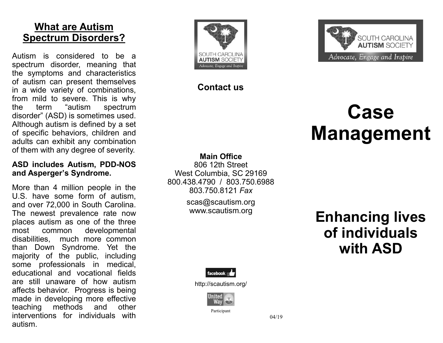# **What are Autism Spectrum Disorders?**

Autism is considered to be a spectrum disorder, meaning that the symptoms and characteristics of autism can present themselves in a wide variety of combinations, from mild to severe. This is why the term "autism spectrum disorder" (ASD) is sometimes used. Although autism is defined by a set of specific behaviors, children and adults can exhibit any combination of them with any degree of severity.

#### **ASD includes Autism, PDD-NOS and Asperger's Syndrome.**

More than 4 million people in the U.S. have some form of autism, and over 72,000 in South Carolina. The newest prevalence rate now places autism as one of the three most common developmental disabilities, much more common than Down Syndrome. Yet the majority of the public, including some professionals in medical, educational and vocational fields are still unaware of how autism affects behavior. Progress is being made in developing more effective teaching methods and other interventions for individuals with autism.





### **Contact us**

# **Case Management**

#### **Main Office**

806 12th Street West Columbia, SC 29169 800.438.4790 / 803.750.6988 803.750.8121 *Fax*

scas@scautism.org

# www.scautism.org **Enhancing lives of individuals with ASD**



http://scautism.org/



Participant